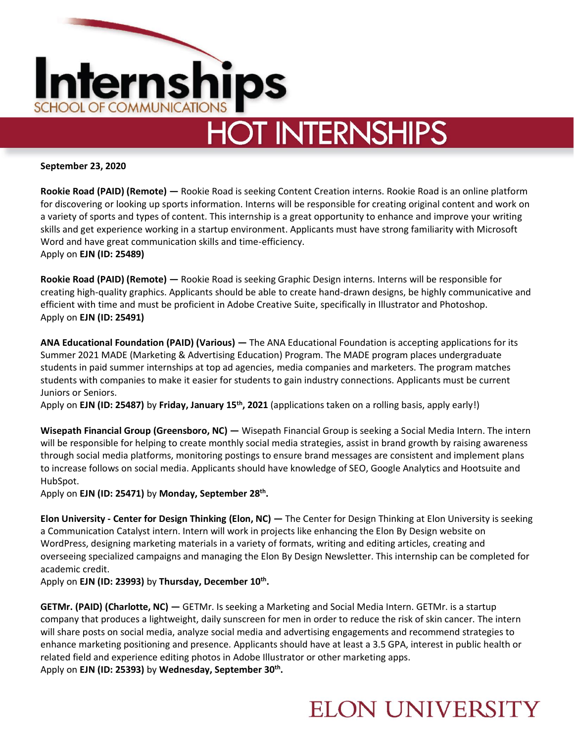

**September 23, 2020**

**Rookie Road (PAID) (Remote) —** Rookie Road is seeking Content Creation interns. Rookie Road is an online platform for discovering or looking up sports information. Interns will be responsible for creating original content and work on a variety of sports and types of content. This internship is a great opportunity to enhance and improve your writing skills and get experience working in a startup environment. Applicants must have strong familiarity with Microsoft Word and have great communication skills and time-efficiency. Apply on **EJN (ID: 25489)** 

**Rookie Road (PAID) (Remote) —** Rookie Road is seeking Graphic Design interns. Interns will be responsible for creating high-quality graphics. Applicants should be able to create hand-drawn designs, be highly communicative and efficient with time and must be proficient in Adobe Creative Suite, specifically in Illustrator and Photoshop. Apply on **EJN (ID: 25491)**

**ANA Educational Foundation (PAID) (Various) —** The ANA Educational Foundation is accepting applications for its Summer 2021 MADE (Marketing & Advertising Education) Program. The MADE program places undergraduate students in paid summer internships at top ad agencies, media companies and marketers. The program matches students with companies to make it easier for students to gain industry connections. Applicants must be current Juniors or Seniors.

Apply on **EJN (ID: 25487)** by **Friday, January 15th, 2021** (applications taken on a rolling basis, apply early!)

**Wisepath Financial Group (Greensboro, NC) —** Wisepath Financial Group is seeking a Social Media Intern. The intern will be responsible for helping to create monthly social media strategies, assist in brand growth by raising awareness through social media platforms, monitoring postings to ensure brand messages are consistent and implement plans to increase follows on social media. Applicants should have knowledge of SEO, Google Analytics and Hootsuite and HubSpot.

Apply on **EJN (ID: 25471)** by **Monday, September 28th .**

**Elon University - Center for Design Thinking (Elon, NC) —** The Center for Design Thinking at Elon University is seeking a Communication Catalyst intern. Intern will work in projects like enhancing the Elon By Design website on WordPress, designing marketing materials in a variety of formats, writing and editing articles, creating and overseeing specialized campaigns and managing the Elon By Design Newsletter. This internship can be completed for academic credit.

Apply on **EJN (ID: 23993)** by **Thursday, December 10th .** 

**GETMr. (PAID) (Charlotte, NC) —** GETMr. Is seeking a Marketing and Social Media Intern. GETMr. is a startup company that produces a lightweight, daily sunscreen for men in order to reduce the risk of skin cancer. The intern will share posts on social media, analyze social media and advertising engagements and recommend strategies to enhance marketing positioning and presence. Applicants should have at least a 3.5 GPA, interest in public health or related field and experience editing photos in Adobe Illustrator or other marketing apps. Apply on **EJN (ID: 25393)** by **Wednesday, September 30th .** 

### **ELON UNIVERSITY**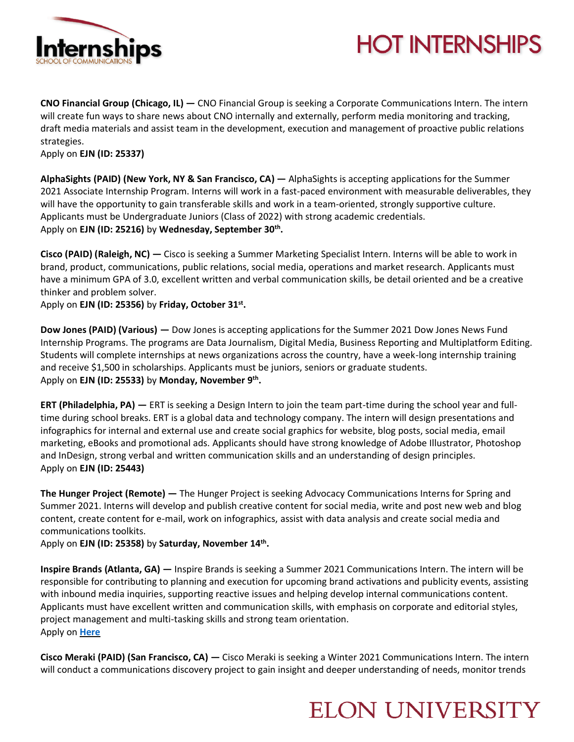

# **HOT INTERNSHIPS**

**CNO Financial Group (Chicago, IL) —** CNO Financial Group is seeking a Corporate Communications Intern. The intern will create fun ways to share news about CNO internally and externally, perform media monitoring and tracking, draft media materials and assist team in the development, execution and management of proactive public relations strategies.

Apply on **EJN (ID: 25337)** 

**AlphaSights (PAID) (New York, NY & San Francisco, CA) —** AlphaSights is accepting applications for the Summer 2021 Associate Internship Program. Interns will work in a fast-paced environment with measurable deliverables, they will have the opportunity to gain transferable skills and work in a team-oriented, strongly supportive culture. Applicants must be Undergraduate Juniors (Class of 2022) with strong academic credentials. Apply on **EJN (ID: 25216)** by **Wednesday, September 30th .** 

**Cisco (PAID) (Raleigh, NC) —** Cisco is seeking a Summer Marketing Specialist Intern. Interns will be able to work in brand, product, communications, public relations, social media, operations and market research. Applicants must have a minimum GPA of 3.0, excellent written and verbal communication skills, be detail oriented and be a creative thinker and problem solver.

Apply on **EJN (ID: 25356)** by **Friday, October 31st .** 

**Dow Jones (PAID) (Various) —** Dow Jones is accepting applications for the Summer 2021 Dow Jones News Fund Internship Programs. The programs are Data Journalism, Digital Media, Business Reporting and Multiplatform Editing. Students will complete internships at news organizations across the country, have a week-long internship training and receive \$1,500 in scholarships. Applicants must be juniors, seniors or graduate students. Apply on **EJN (ID: 25533)** by **Monday, November 9th .** 

**ERT (Philadelphia, PA) —** ERT is seeking a Design Intern to join the team part-time during the school year and fulltime during school breaks. ERT is a global data and technology company. The intern will design presentations and infographics for internal and external use and create social graphics for website, blog posts, social media, email marketing, eBooks and promotional ads. Applicants should have strong knowledge of Adobe Illustrator, Photoshop and InDesign, strong verbal and written communication skills and an understanding of design principles. Apply on **EJN (ID: 25443)** 

**The Hunger Project (Remote) —** The Hunger Project is seeking Advocacy Communications Interns for Spring and Summer 2021. Interns will develop and publish creative content for social media, write and post new web and blog content, create content for e-mail, work on infographics, assist with data analysis and create social media and communications toolkits.

Apply on **EJN (ID: 25358)** by **Saturday, November 14th .**

**Inspire Brands (Atlanta, GA) —** Inspire Brands is seeking a Summer 2021 Communications Intern. The intern will be responsible for contributing to planning and execution for upcoming brand activations and publicity events, assisting with inbound media inquiries, supporting reactive issues and helping develop internal communications content. Applicants must have excellent written and communication skills, with emphasis on corporate and editorial styles, project management and multi-tasking skills and strong team orientation. Apply on **[Here](https://careers.inspirebrands.com/us/en/job/INBRUSJR7171/Summer-2021-Intern-Communications?Applicant_Source_ID=LinkedIn&utm_campaign=inspirebrands&utm_medium=organic&utm_source=LinkedIn_organic&rx_medium=post&rx_paid=0&rx_r=none&rx_source=linkedin&rx_ts=20200922T033629Z&rx_viewer=4d2908ec622811ea979047d3a8f0a8cbb2f5d7ab33524e58b75014a4fe779c88)**

**Cisco Meraki (PAID) (San Francisco, CA) —** Cisco Meraki is seeking a Winter 2021 Communications Intern. The intern will conduct a communications discovery project to gain insight and deeper understanding of needs, monitor trends

### **ELON UNIVERSITY**